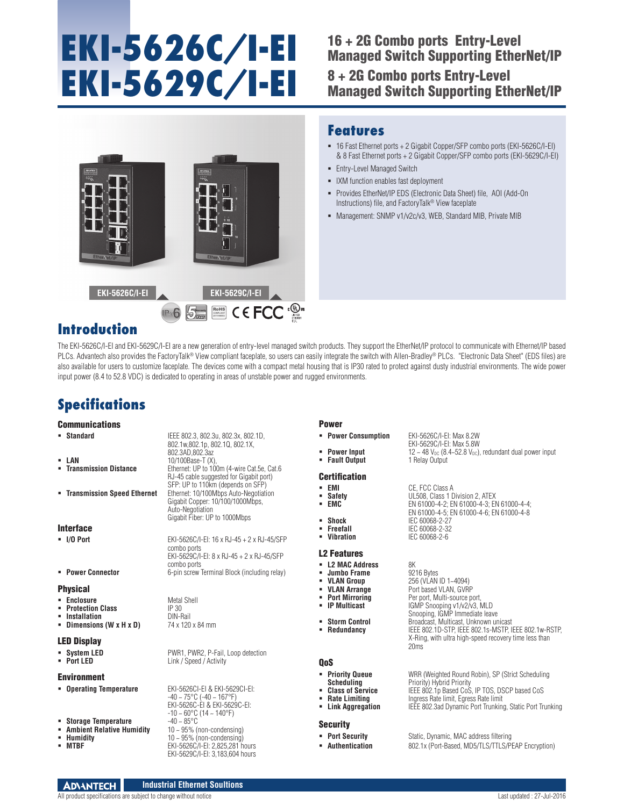# **EKI-5626C/I-EI EKI-5629C/I-EI**

## 16 + 2G Combo ports Entry-Level Managed Switch Supporting EtherNet/IP

8 + 2G Combo ports Entry-Level Managed Switch Supporting EtherNet/IP



### **Features**

- 16 Fast Ethernet ports + 2 Gigabit Copper/SFP combo ports (EKI-5626C/I-EI) & 8 Fast Ethernet ports + 2 Gigabit Copper/SFP combo ports (EKI-5629C/I-EI)
- **Entry-Level Managed Switch**
- **IXM** function enables fast deployment
- Provides EtherNet/IP EDS (Electronic Data Sheet) file, AOI (Add-On Instructions) file, and FactoryTalk® View faceplate
- Management: SNMP v1/v2c/v3, WEB, Standard MIB, Private MIB

## **Introduction**

The EKI-5626C/I-EI and EKI-5629C/I-EI are a new generation of entry-level managed switch products. They support the EtherNet/IP protocol to communicate with Ethernet/IP based PLCs. Advantech also provides the FactoryTalk® View compliant faceplate, so users can easily integrate the switch with Allen-Bradley® PLCs. "Electronic Data Sheet" (EDS files) are also available for users to customize faceplate. The devices come with a compact metal housing that is IP30 rated to protect against dusty industrial environments. The wide power input power (8.4 to 52.8 VDC) is dedicated to operating in areas of unstable power and rugged environments.

## **Specifications**

#### **Communications**

|                    | <b>Standard</b>                                                                               | IEEE 802.3, 802.3u, 802.3x, 802.1D,<br>802.1w,802.1p, 802.1Q, 802.1X,<br>802.3AD, 802.3az                                                        |
|--------------------|-----------------------------------------------------------------------------------------------|--------------------------------------------------------------------------------------------------------------------------------------------------|
| ٠                  | LAN<br><b>Transmission Distance</b>                                                           | 10/100Base-T (X),<br>Ethernet: UP to 100m (4-wire Cat.5e, Cat.6)<br>RJ-45 cable suggested for Gigabit port)<br>SFP: UP to 110km (depends on SFP) |
|                    | " Transmission Speed Ethernet                                                                 | Ethernet: 10/100Mbps Auto-Negotiation<br>Gigabit Copper: 10/100/1000Mbps,<br>Auto-Negotiation<br>Gigabit Fiber: UP to 1000Mbps                   |
| <b>Interface</b>   |                                                                                               |                                                                                                                                                  |
|                    | $\blacksquare$ I/O Port                                                                       | EKI-5626C/I-EI: 16 x RJ-45 + 2 x RJ-45/SFP<br>combo ports<br>EKI-5629C/I-EI: 8 x RJ-45 + 2 x RJ-45/SFP                                           |
|                    | • Power Connector                                                                             | combo ports<br>6-pin screw Terminal Block (including relay)                                                                                      |
| <b>Physical</b>    |                                                                                               |                                                                                                                                                  |
|                    | <b>Enclosure</b><br>• Protection Class<br>• Installation<br>- Dimensions (W x H x D)          | Metal Shell<br>IP 30<br>DIN-Rail<br>74 x 120 x 84 mm                                                                                             |
| <b>LED Display</b> |                                                                                               |                                                                                                                                                  |
|                    | • System LED<br>$\blacksquare$ Port LED                                                       | PWR1, PWR2, P-Fail, Loop detection<br>Link / Speed / Activity                                                                                    |
| <b>Environment</b> |                                                                                               |                                                                                                                                                  |
|                    | <b>Operating Temperature</b>                                                                  | EKI-5626CI-EI & EKI-5629CI-EI:<br>$-40 \sim 75^{\circ}$ C (-40 ~ 167°F)<br>EKI-5626C-EI & EKI-5629C-EI:<br>$-10 - 60^{\circ}$ C (14 ~ 140°F)     |
| ٠                  | <b>Storage Temperature</b><br><b>- Ambient Relative Humidity</b><br>• Humidity<br><b>MTBF</b> | $-40 - 85$ °C<br>$10 \sim 95\%$ (non-condensing)<br>$10 - 95%$ (non-condensing)<br>EKI-5626C/I-EI: 2,825,281 hours                               |

#### Power

- **Power Consumption** EKI-5626C/I-EI: Max 8.2W
- **Power Input** 12 ~ 48 V<sub>DC</sub> (8.4~52.8 V<sub>DC</sub>), redundant dual power input<br> **Fault Output** 1 Relay Output
- **Fault Output**

#### **Certification**

- **EMI CE**, FCC Class A<br>**Bafety CE, FCC Class 1 DL508, Class 1 D Safety UL508, Class 1 Division 2, ATEX**<br>**FMC** FWG1000-4-2: FN 61000-4-3: FN
- 
- **Shock** IEC 60068-2-27<br>**Freefall** IEC 60068-2-32
- **Freefall** IEC 60068-2-32<br>**IEC 60068-2-6**

#### L2 Features

- 
- **Jumbo Frame**<br>**VLAN Group**
- 
- 
- 
- 
- 

QoS

**L2 MAC Address** 8K<br> **Jumbo Frame** 9216 Bytes **VLAN Group** 256 (VLAN ID 1~4094)<br> **VLAN Arrange** Port based VLAN GVR **VLAN Arrange** Port based VLAN, GVRP<br> **Port Mirroring** Per port Multi-source port **Port Mirroring** Per port, Multi-source port, **PMulticast** Per port, Multi-source port, **IGMP Snooping v1/v2/v3, MLD** 

 **EMC** EN 61000-4-2; EN 61000-4-3; EN 61000-4-4; EN 61000-4-5; EN 61000-4-6; EN 61000-4-8

Snooping, IGMP Immediate leave **Storm Control** Broadcast, Multicast, Unknown unicast **Redundancy** IEEE 802.1D-STP, IEEE 802.1s-MSTP, IEEE 802.1w-RSTP, X-Ring, with ultra high-speed recovery time less than 20ms

EKI-5629C/I-EI: Max 5.8W

**Vibration** IEC 60068-2-6

**Priority Queue WRR** (Weighted Round Robin), SP (Strict Scheduling **Scheduling Scheduling Priority** Hybrid Priority

- **Scheduling** Priority) Hybrid Priority **Class of Service** IEEE 802.1p Based CoS, IP TOS, DSCP based CoS
- -

#### **Security**

- 
- 

**Rate Limiting Figures** Ingress Rate limit, Egress Rate limit<br> **Link Aggregation** IEEE 802.3ad Dynamic Port Trunking **IEEE 802.3ad Dynamic Port Trunking, Static Port Trunking** 

**Port Security Static, Dynamic, MAC address filtering Authentication** 802.1x (Port-Based, MD5/TLS/TLS/PEAP Encryption)

EKI-5629C/I-EI: 3,183,604 hours